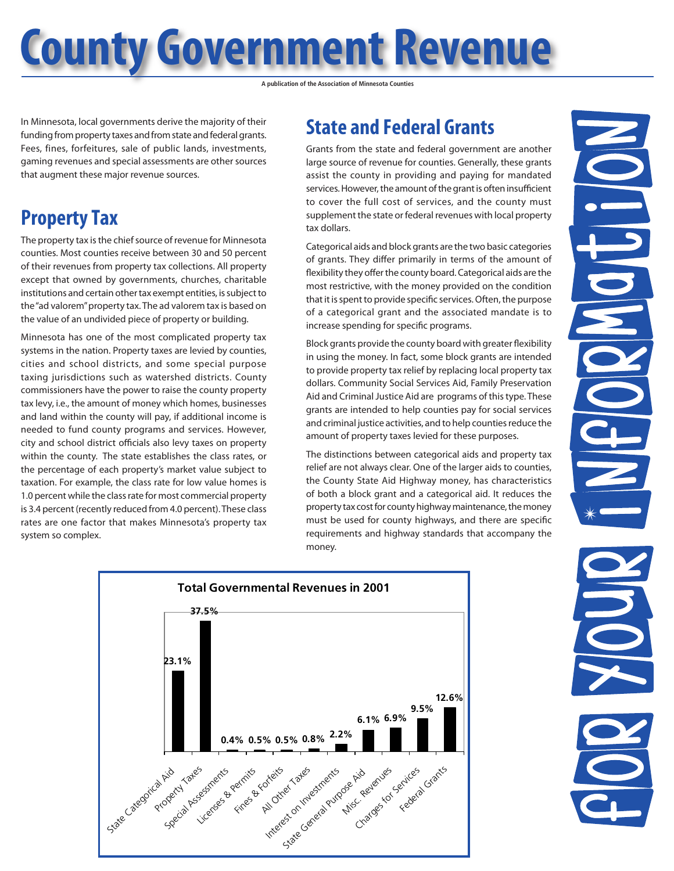# **County Government Revenue**

**A publication of the Association of Minnesota Counties**

In Minnesota, local governments derive the majority of their funding from property taxes and from state and federal grants. Fees, fines, forfeitures, sale of public lands, investments, gaming revenues and special assessments are other sources that augment these major revenue sources.

### **Property Tax**

The property tax is the chief source of revenue for Minnesota counties. Most counties receive between 30 and 50 percent of their revenues from property tax collections. All property except that owned by governments, churches, charitable institutions and certain other tax exempt entities, is subject to the "ad valorem" property tax. The ad valorem tax is based on the value of an undivided piece of property or building.

Minnesota has one of the most complicated property tax systems in the nation. Property taxes are levied by counties, cities and school districts, and some special purpose taxing jurisdictions such as watershed districts. County commissioners have the power to raise the county property tax levy, i.e., the amount of money which homes, businesses and land within the county will pay, if additional income is needed to fund county programs and services. However, city and school district officials also levy taxes on property within the county. The state establishes the class rates, or the percentage of each property's market value subject to taxation. For example, the class rate for low value homes is 1.0 percent while the class rate for most commercial property is 3.4 percent (recently reduced from 4.0 percent). These class rates are one factor that makes Minnesota's property tax system so complex.

## **State and Federal Grants**

Grants from the state and federal government are another large source of revenue for counties. Generally, these grants assist the county in providing and paying for mandated services. However, the amount of the grant is often insufficient to cover the full cost of services, and the county must supplement the state or federal revenues with local property tax dollars.

Categorical aids and block grants are the two basic categories of grants. They differ primarily in terms of the amount of flexibility they offer the county board. Categorical aids are the most restrictive, with the money provided on the condition that it is spent to provide specific services. Often, the purpose of a categorical grant and the associated mandate is to increase spending for specific programs.

Block grants provide the county board with greater flexibility in using the money. In fact, some block grants are intended to provide property tax relief by replacing local property tax dollars. Community Social Services Aid, Family Preservation Aid and Criminal Justice Aid are programs of this type. These grants are intended to help counties pay for social services and criminal justice activities, and to help counties reduce the amount of property taxes levied for these purposes.

The distinctions between categorical aids and property tax relief are not always clear. One of the larger aids to counties, the County State Aid Highway money, has characteristics of both a block grant and a categorical aid. It reduces the property tax cost for county highway maintenance, the money must be used for county highways, and there are specific requirements and highway standards that accompany the money.